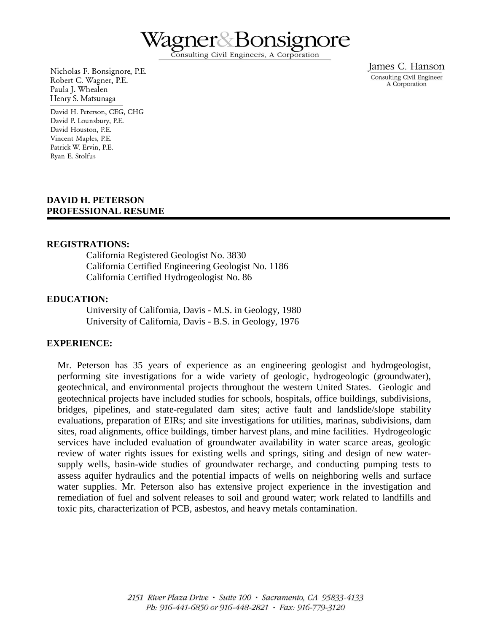

Consulting Civil Engineers, A Corporation

Nicholas F. Bonsignore, P.E. Robert C. Wagner, P.E. Paula J. Whealen Henry S. Matsunaga

David H. Peterson, CEG, CHG David P. Lounsbury, P.E. David Houston, P.E. Vincent Maples, P.E. Patrick W. Ervin, P.E. Ryan E. Stolfus

#### **DAVID H. PETERSON PROFESSIONAL RESUME**

#### **REGISTRATIONS:**

California Registered Geologist No. 3830 California Certified Engineering Geologist No. 1186 California Certified Hydrogeologist No. 86

#### **EDUCATION:**

University of California, Davis - M.S. in Geology, 1980 University of California, Davis - B.S. in Geology, 1976

#### **EXPERIENCE:**

Mr. Peterson has 35 years of experience as an engineering geologist and hydrogeologist, performing site investigations for a wide variety of geologic, hydrogeologic (groundwater), geotechnical, and environmental projects throughout the western United States. Geologic and geotechnical projects have included studies for schools, hospitals, office buildings, subdivisions, bridges, pipelines, and state-regulated dam sites; active fault and landslide/slope stability evaluations, preparation of EIRs; and site investigations for utilities, marinas, subdivisions, dam sites, road alignments, office buildings, timber harvest plans, and mine facilities. Hydrogeologic services have included evaluation of groundwater availability in water scarce areas, geologic review of water rights issues for existing wells and springs, siting and design of new watersupply wells, basin-wide studies of groundwater recharge, and conducting pumping tests to assess aquifer hydraulics and the potential impacts of wells on neighboring wells and surface water supplies. Mr. Peterson also has extensive project experience in the investigation and remediation of fuel and solvent releases to soil and ground water; work related to landfills and toxic pits, characterization of PCB, asbestos, and heavy metals contamination.

James C. Hanson Consulting Civil Engineer A Corporation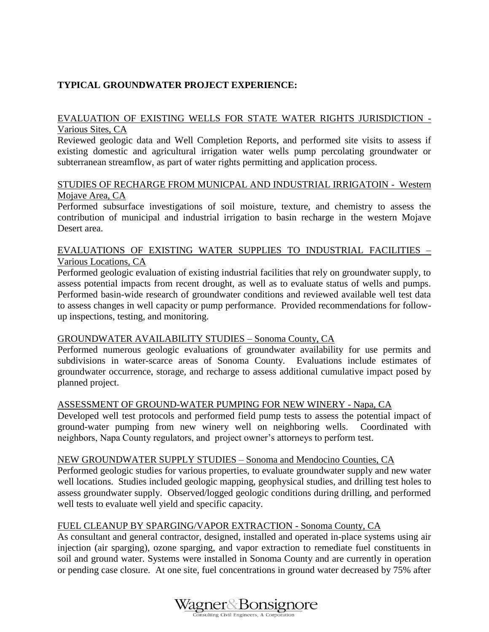# **TYPICAL GROUNDWATER PROJECT EXPERIENCE:**

## EVALUATION OF EXISTING WELLS FOR STATE WATER RIGHTS JURISDICTION - Various Sites, CA

Reviewed geologic data and Well Completion Reports, and performed site visits to assess if existing domestic and agricultural irrigation water wells pump percolating groundwater or subterranean streamflow, as part of water rights permitting and application process.

#### STUDIES OF RECHARGE FROM MUNICPAL AND INDUSTRIAL IRRIGATOIN - Western Mojave Area, CA

Performed subsurface investigations of soil moisture, texture, and chemistry to assess the contribution of municipal and industrial irrigation to basin recharge in the western Mojave Desert area.

## EVALUATIONS OF EXISTING WATER SUPPLIES TO INDUSTRIAL FACILITIES – Various Locations, CA

Performed geologic evaluation of existing industrial facilities that rely on groundwater supply, to assess potential impacts from recent drought, as well as to evaluate status of wells and pumps. Performed basin-wide research of groundwater conditions and reviewed available well test data to assess changes in well capacity or pump performance. Provided recommendations for followup inspections, testing, and monitoring.

## GROUNDWATER AVAILABILITY STUDIES – Sonoma County, CA

Performed numerous geologic evaluations of groundwater availability for use permits and subdivisions in water-scarce areas of Sonoma County. Evaluations include estimates of groundwater occurrence, storage, and recharge to assess additional cumulative impact posed by planned project.

## ASSESSMENT OF GROUND-WATER PUMPING FOR NEW WINERY - Napa, CA

Developed well test protocols and performed field pump tests to assess the potential impact of ground-water pumping from new winery well on neighboring wells. Coordinated with neighbors, Napa County regulators, and project owner's attorneys to perform test.

#### NEW GROUNDWATER SUPPLY STUDIES – Sonoma and Mendocino Counties, CA

Performed geologic studies for various properties, to evaluate groundwater supply and new water well locations. Studies included geologic mapping, geophysical studies, and drilling test holes to assess groundwater supply. Observed/logged geologic conditions during drilling, and performed well tests to evaluate well yield and specific capacity.

## FUEL CLEANUP BY SPARGING/VAPOR EXTRACTION - Sonoma County, CA

As consultant and general contractor, designed, installed and operated in-place systems using air injection (air sparging), ozone sparging, and vapor extraction to remediate fuel constituents in soil and ground water. Systems were installed in Sonoma County and are currently in operation or pending case closure. At one site, fuel concentrations in ground water decreased by 75% after

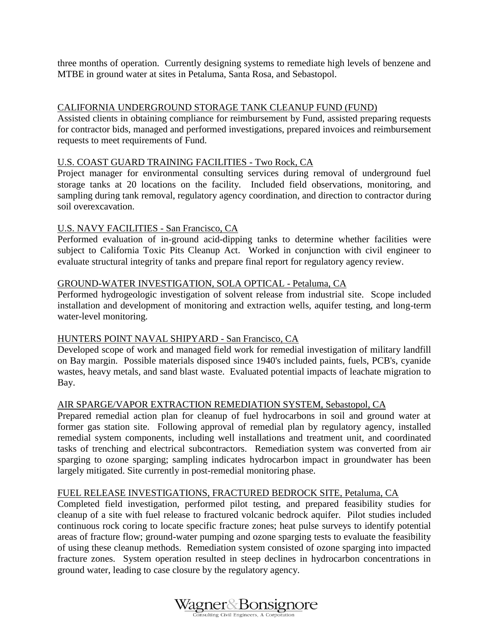three months of operation. Currently designing systems to remediate high levels of benzene and MTBE in ground water at sites in Petaluma, Santa Rosa, and Sebastopol.

### CALIFORNIA UNDERGROUND STORAGE TANK CLEANUP FUND (FUND)

Assisted clients in obtaining compliance for reimbursement by Fund, assisted preparing requests for contractor bids, managed and performed investigations, prepared invoices and reimbursement requests to meet requirements of Fund.

#### U.S. COAST GUARD TRAINING FACILITIES - Two Rock, CA

Project manager for environmental consulting services during removal of underground fuel storage tanks at 20 locations on the facility. Included field observations, monitoring, and sampling during tank removal, regulatory agency coordination, and direction to contractor during soil overexcavation.

#### U.S. NAVY FACILITIES - San Francisco, CA

Performed evaluation of in-ground acid-dipping tanks to determine whether facilities were subject to California Toxic Pits Cleanup Act. Worked in conjunction with civil engineer to evaluate structural integrity of tanks and prepare final report for regulatory agency review.

#### GROUND-WATER INVESTIGATION, SOLA OPTICAL - Petaluma, CA

Performed hydrogeologic investigation of solvent release from industrial site. Scope included installation and development of monitoring and extraction wells, aquifer testing, and long-term water-level monitoring.

#### HUNTERS POINT NAVAL SHIPYARD - San Francisco, CA

Developed scope of work and managed field work for remedial investigation of military landfill on Bay margin. Possible materials disposed since 1940's included paints, fuels, PCB's, cyanide wastes, heavy metals, and sand blast waste. Evaluated potential impacts of leachate migration to Bay.

#### AIR SPARGE/VAPOR EXTRACTION REMEDIATION SYSTEM, Sebastopol, CA

Prepared remedial action plan for cleanup of fuel hydrocarbons in soil and ground water at former gas station site. Following approval of remedial plan by regulatory agency, installed remedial system components, including well installations and treatment unit, and coordinated tasks of trenching and electrical subcontractors. Remediation system was converted from air sparging to ozone sparging; sampling indicates hydrocarbon impact in groundwater has been largely mitigated. Site currently in post-remedial monitoring phase.

#### FUEL RELEASE INVESTIGATIONS, FRACTURED BEDROCK SITE, Petaluma, CA

Completed field investigation, performed pilot testing, and prepared feasibility studies for cleanup of a site with fuel release to fractured volcanic bedrock aquifer. Pilot studies included continuous rock coring to locate specific fracture zones; heat pulse surveys to identify potential areas of fracture flow; ground-water pumping and ozone sparging tests to evaluate the feasibility of using these cleanup methods. Remediation system consisted of ozone sparging into impacted fracture zones. System operation resulted in steep declines in hydrocarbon concentrations in ground water, leading to case closure by the regulatory agency.

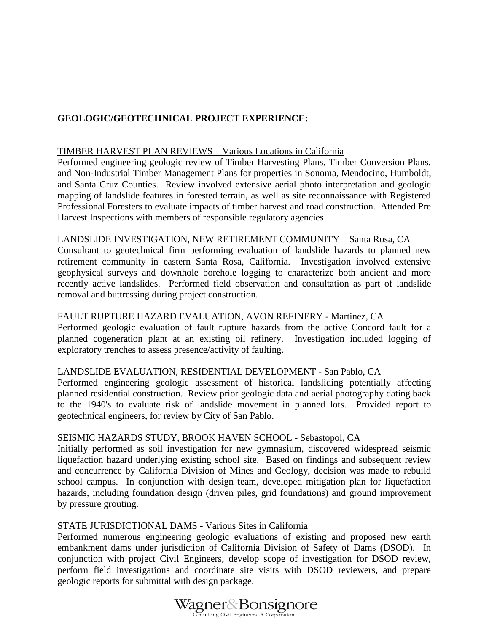# **GEOLOGIC/GEOTECHNICAL PROJECT EXPERIENCE:**

### TIMBER HARVEST PLAN REVIEWS – Various Locations in California

Performed engineering geologic review of Timber Harvesting Plans, Timber Conversion Plans, and Non-Industrial Timber Management Plans for properties in Sonoma, Mendocino, Humboldt, and Santa Cruz Counties. Review involved extensive aerial photo interpretation and geologic mapping of landslide features in forested terrain, as well as site reconnaissance with Registered Professional Foresters to evaluate impacts of timber harvest and road construction. Attended Pre Harvest Inspections with members of responsible regulatory agencies.

## LANDSLIDE INVESTIGATION, NEW RETIREMENT COMMUNITY – Santa Rosa, CA

Consultant to geotechnical firm performing evaluation of landslide hazards to planned new retirement community in eastern Santa Rosa, California. Investigation involved extensive geophysical surveys and downhole borehole logging to characterize both ancient and more recently active landslides. Performed field observation and consultation as part of landslide removal and buttressing during project construction.

#### FAULT RUPTURE HAZARD EVALUATION, AVON REFINERY - Martinez, CA

Performed geologic evaluation of fault rupture hazards from the active Concord fault for a planned cogeneration plant at an existing oil refinery. Investigation included logging of exploratory trenches to assess presence/activity of faulting.

#### LANDSLIDE EVALUATION, RESIDENTIAL DEVELOPMENT - San Pablo, CA

Performed engineering geologic assessment of historical landsliding potentially affecting planned residential construction. Review prior geologic data and aerial photography dating back to the 1940's to evaluate risk of landslide movement in planned lots. Provided report to geotechnical engineers, for review by City of San Pablo.

#### SEISMIC HAZARDS STUDY, BROOK HAVEN SCHOOL - Sebastopol, CA

Initially performed as soil investigation for new gymnasium, discovered widespread seismic liquefaction hazard underlying existing school site. Based on findings and subsequent review and concurrence by California Division of Mines and Geology, decision was made to rebuild school campus. In conjunction with design team, developed mitigation plan for liquefaction hazards, including foundation design (driven piles, grid foundations) and ground improvement by pressure grouting.

#### STATE JURISDICTIONAL DAMS - Various Sites in California

Performed numerous engineering geologic evaluations of existing and proposed new earth embankment dams under jurisdiction of California Division of Safety of Dams (DSOD). In conjunction with project Civil Engineers, develop scope of investigation for DSOD review, perform field investigations and coordinate site visits with DSOD reviewers, and prepare geologic reports for submittal with design package.

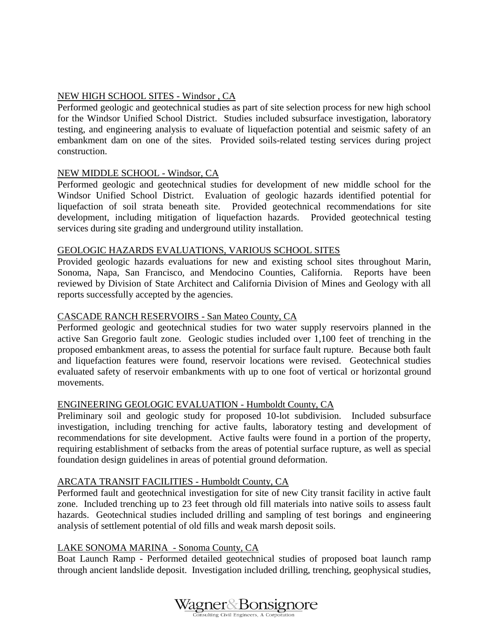### NEW HIGH SCHOOL SITES - Windsor , CA

Performed geologic and geotechnical studies as part of site selection process for new high school for the Windsor Unified School District. Studies included subsurface investigation, laboratory testing, and engineering analysis to evaluate of liquefaction potential and seismic safety of an embankment dam on one of the sites. Provided soils-related testing services during project construction.

### NEW MIDDLE SCHOOL - Windsor, CA

Performed geologic and geotechnical studies for development of new middle school for the Windsor Unified School District. Evaluation of geologic hazards identified potential for liquefaction of soil strata beneath site. Provided geotechnical recommendations for site development, including mitigation of liquefaction hazards. Provided geotechnical testing services during site grading and underground utility installation.

#### GEOLOGIC HAZARDS EVALUATIONS, VARIOUS SCHOOL SITES

Provided geologic hazards evaluations for new and existing school sites throughout Marin, Sonoma, Napa, San Francisco, and Mendocino Counties, California. Reports have been reviewed by Division of State Architect and California Division of Mines and Geology with all reports successfully accepted by the agencies.

#### CASCADE RANCH RESERVOIRS - San Mateo County, CA

Performed geologic and geotechnical studies for two water supply reservoirs planned in the active San Gregorio fault zone. Geologic studies included over 1,100 feet of trenching in the proposed embankment areas, to assess the potential for surface fault rupture. Because both fault and liquefaction features were found, reservoir locations were revised. Geotechnical studies evaluated safety of reservoir embankments with up to one foot of vertical or horizontal ground movements.

#### ENGINEERING GEOLOGIC EVALUATION - Humboldt County, CA

Preliminary soil and geologic study for proposed 10-lot subdivision. Included subsurface investigation, including trenching for active faults, laboratory testing and development of recommendations for site development. Active faults were found in a portion of the property, requiring establishment of setbacks from the areas of potential surface rupture, as well as special foundation design guidelines in areas of potential ground deformation.

#### ARCATA TRANSIT FACILITIES - Humboldt County, CA

Performed fault and geotechnical investigation for site of new City transit facility in active fault zone. Included trenching up to 23 feet through old fill materials into native soils to assess fault hazards. Geotechnical studies included drilling and sampling of test borings and engineering analysis of settlement potential of old fills and weak marsh deposit soils.

#### LAKE SONOMA MARINA - Sonoma County, CA

Boat Launch Ramp - Performed detailed geotechnical studies of proposed boat launch ramp through ancient landslide deposit. Investigation included drilling, trenching, geophysical studies,

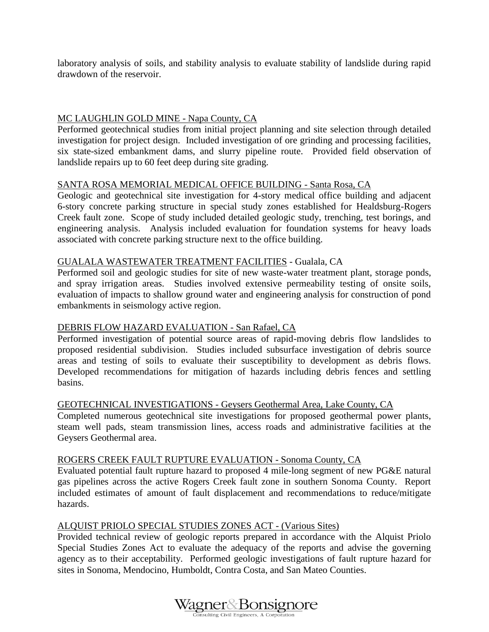laboratory analysis of soils, and stability analysis to evaluate stability of landslide during rapid drawdown of the reservoir.

## MC LAUGHLIN GOLD MINE - Napa County, CA

Performed geotechnical studies from initial project planning and site selection through detailed investigation for project design. Included investigation of ore grinding and processing facilities, six state-sized embankment dams, and slurry pipeline route. Provided field observation of landslide repairs up to 60 feet deep during site grading.

### SANTA ROSA MEMORIAL MEDICAL OFFICE BUILDING - Santa Rosa, CA

Geologic and geotechnical site investigation for 4-story medical office building and adjacent 6-story concrete parking structure in special study zones established for Healdsburg-Rogers Creek fault zone. Scope of study included detailed geologic study, trenching, test borings, and engineering analysis. Analysis included evaluation for foundation systems for heavy loads associated with concrete parking structure next to the office building.

#### GUALALA WASTEWATER TREATMENT FACILITIES - Gualala, CA

Performed soil and geologic studies for site of new waste-water treatment plant, storage ponds, and spray irrigation areas. Studies involved extensive permeability testing of onsite soils, evaluation of impacts to shallow ground water and engineering analysis for construction of pond embankments in seismology active region.

## DEBRIS FLOW HAZARD EVALUATION - San Rafael, CA

Performed investigation of potential source areas of rapid-moving debris flow landslides to proposed residential subdivision. Studies included subsurface investigation of debris source areas and testing of soils to evaluate their susceptibility to development as debris flows. Developed recommendations for mitigation of hazards including debris fences and settling basins.

#### GEOTECHNICAL INVESTIGATIONS - Geysers Geothermal Area, Lake County, CA

Completed numerous geotechnical site investigations for proposed geothermal power plants, steam well pads, steam transmission lines, access roads and administrative facilities at the Geysers Geothermal area.

#### ROGERS CREEK FAULT RUPTURE EVALUATION - Sonoma County, CA

Evaluated potential fault rupture hazard to proposed 4 mile-long segment of new PG&E natural gas pipelines across the active Rogers Creek fault zone in southern Sonoma County. Report included estimates of amount of fault displacement and recommendations to reduce/mitigate hazards.

## ALQUIST PRIOLO SPECIAL STUDIES ZONES ACT - (Various Sites)

Provided technical review of geologic reports prepared in accordance with the Alquist Priolo Special Studies Zones Act to evaluate the adequacy of the reports and advise the governing agency as to their acceptability. Performed geologic investigations of fault rupture hazard for sites in Sonoma, Mendocino, Humboldt, Contra Costa, and San Mateo Counties.